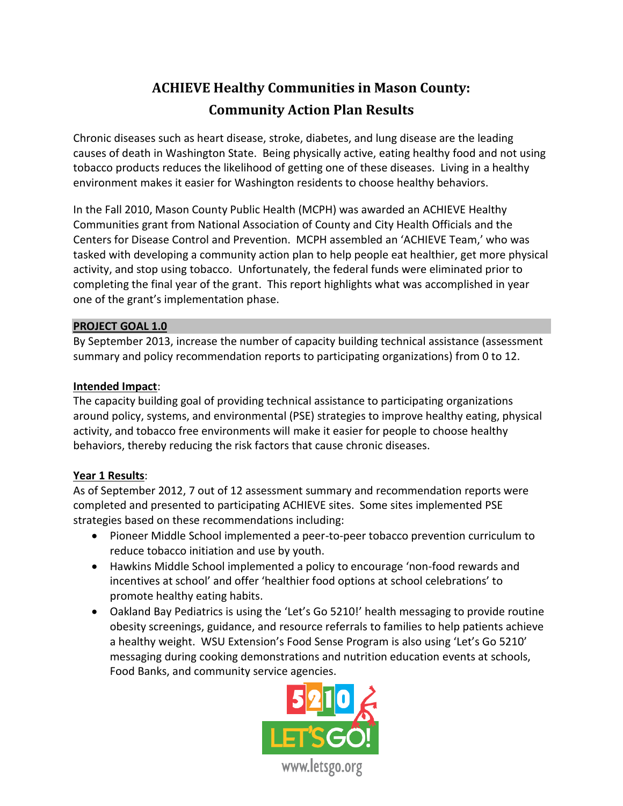# **ACHIEVE Healthy Communities in Mason County: Community Action Plan Results**

Chronic diseases such as heart disease, stroke, diabetes, and lung disease are the leading causes of death in Washington State. Being physically active, eating healthy food and not using tobacco products reduces the likelihood of getting one of these diseases. Living in a healthy environment makes it easier for Washington residents to choose healthy behaviors.

In the Fall 2010, Mason County Public Health (MCPH) was awarded an ACHIEVE Healthy Communities grant from National Association of County and City Health Officials and the Centers for Disease Control and Prevention. MCPH assembled an 'ACHIEVE Team,' who was tasked with developing a community action plan to help people eat healthier, get more physical activity, and stop using tobacco. Unfortunately, the federal funds were eliminated prior to completing the final year of the grant. This report highlights what was accomplished in year one of the grant's implementation phase.

## **PROJECT GOAL 1.0**

By September 2013, increase the number of capacity building technical assistance (assessment summary and policy recommendation reports to participating organizations) from 0 to 12.

## **Intended Impact**:

The capacity building goal of providing technical assistance to participating organizations around policy, systems, and environmental (PSE) strategies to improve healthy eating, physical activity, and tobacco free environments will make it easier for people to choose healthy behaviors, thereby reducing the risk factors that cause chronic diseases.

# **Year 1 Results**:

As of September 2012, 7 out of 12 assessment summary and recommendation reports were completed and presented to participating ACHIEVE sites. Some sites implemented PSE strategies based on these recommendations including:

- Pioneer Middle School implemented a peer-to-peer tobacco prevention curriculum to reduce tobacco initiation and use by youth.
- Hawkins Middle School implemented a policy to encourage 'non-food rewards and incentives at school' and offer 'healthier food options at school celebrations' to promote healthy eating habits.
- Oakland Bay Pediatrics is using the 'Let's Go 5210!' health messaging to provide routine obesity screenings, guidance, and resource referrals to families to help patients achieve a healthy weight. WSU Extension's Food Sense Program is also using 'Let's Go 5210' messaging during cooking demonstrations and nutrition education events at schools, Food Banks, and community service agencies.

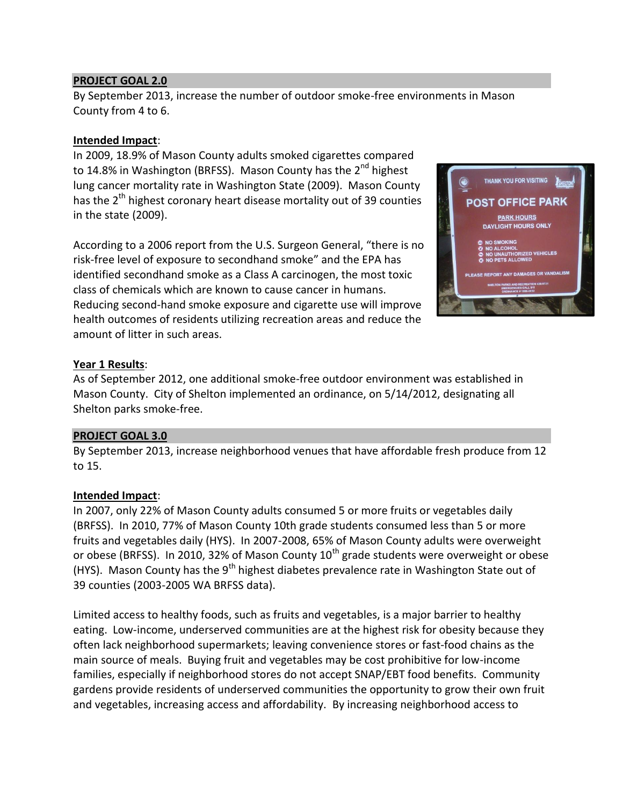## **PROJECT GOAL 2.0**

By September 2013, increase the number of outdoor smoke-free environments in Mason County from 4 to 6.

## **Intended Impact**:

In 2009, 18.9% of Mason County adults smoked cigarettes compared to 14.8% in Washington (BRFSS). Mason County has the 2<sup>nd</sup> highest lung cancer mortality rate in Washington State (2009). Mason County has the  $2<sup>th</sup>$  highest coronary heart disease mortality out of 39 counties in the state (2009).

According to a 2006 report from the U.S. Surgeon General, "there is no risk-free level of exposure to secondhand smoke" and the EPA has identified secondhand smoke as a Class A carcinogen, the most toxic class of chemicals which are known to cause cancer in humans. Reducing second-hand smoke exposure and cigarette use will improve health outcomes of residents utilizing recreation areas and reduce the amount of litter in such areas.



# **Year 1 Results**:

As of September 2012, one additional smoke-free outdoor environment was established in Mason County. City of Shelton implemented an ordinance, on 5/14/2012, designating all Shelton parks smoke-free.

## **PROJECT GOAL 3.0**

By September 2013, increase neighborhood venues that have affordable fresh produce from 12 to 15.

## **Intended Impact**:

In 2007, only 22% of Mason County adults consumed 5 or more fruits or vegetables daily (BRFSS). In 2010, 77% of Mason County 10th grade students consumed less than 5 or more fruits and vegetables daily (HYS). In 2007-2008, 65% of Mason County adults were overweight or obese (BRFSS). In 2010, 32% of Mason County  $10<sup>th</sup>$  grade students were overweight or obese (HYS). Mason County has the  $9<sup>th</sup>$  highest diabetes prevalence rate in Washington State out of 39 counties (2003-2005 WA BRFSS data).

Limited access to healthy foods, such as fruits and vegetables, is a major barrier to healthy eating. Low-income, underserved communities are at the highest risk for obesity because they often lack neighborhood supermarkets; leaving convenience stores or fast-food chains as the main source of meals. Buying fruit and vegetables may be cost prohibitive for low-income families, especially if neighborhood stores do not accept SNAP/EBT food benefits. Community gardens provide residents of underserved communities the opportunity to grow their own fruit and vegetables, increasing access and affordability. By increasing neighborhood access to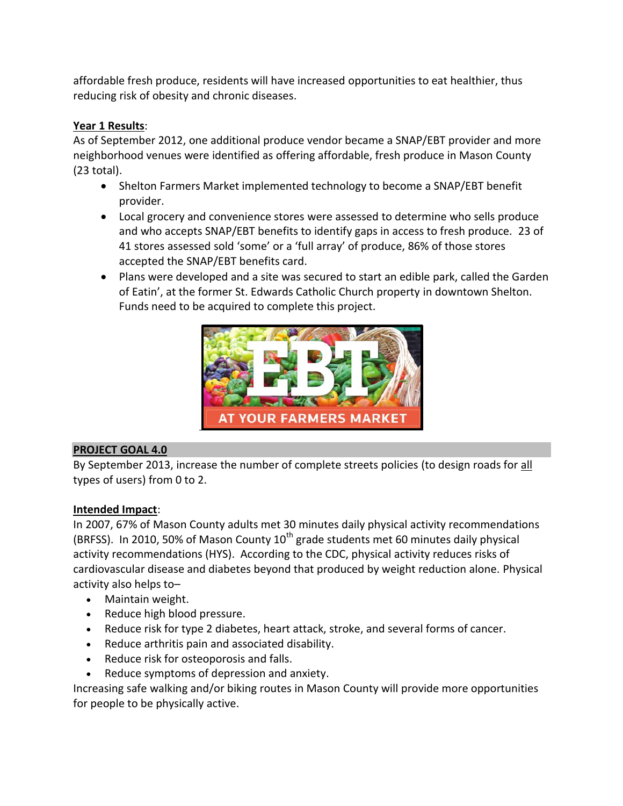affordable fresh produce, residents will have increased opportunities to eat healthier, thus reducing risk of obesity and chronic diseases.

# **Year 1 Results**:

As of September 2012, one additional produce vendor became a SNAP/EBT provider and more neighborhood venues were identified as offering affordable, fresh produce in Mason County (23 total).

- Shelton Farmers Market implemented technology to become a SNAP/EBT benefit provider.
- Local grocery and convenience stores were assessed to determine who sells produce and who accepts SNAP/EBT benefits to identify gaps in access to fresh produce. 23 of 41 stores assessed sold 'some' or a 'full array' of produce, 86% of those stores accepted the SNAP/EBT benefits card.
- Plans were developed and a site was secured to start an edible park, called the Garden of Eatin', at the former St. Edwards Catholic Church property in downtown Shelton. Funds need to be acquired to complete this project.



# **PROJECT GOAL 4.0**

By September 2013, increase the number of complete streets policies (to design roads for all types of users) from 0 to 2.

# **Intended Impact**:

In 2007, 67% of Mason County adults met 30 minutes daily physical activity recommendations (BRFSS). In 2010, 50% of Mason County  $10<sup>th</sup>$  grade students met 60 minutes daily physical activity recommendations (HYS). According to the CDC, physical activity reduces risks of cardiovascular disease and diabetes beyond that produced by weight reduction alone. Physical activity also helps to–

- Maintain weight.
- Reduce high blood pressure.
- Reduce risk for type 2 diabetes, heart attack, stroke, and several forms of cancer.
- Reduce arthritis pain and associated disability.
- Reduce risk for osteoporosis and falls.
- Reduce symptoms of depression and anxiety.

Increasing safe walking and/or biking routes in Mason County will provide more opportunities for people to be physically active.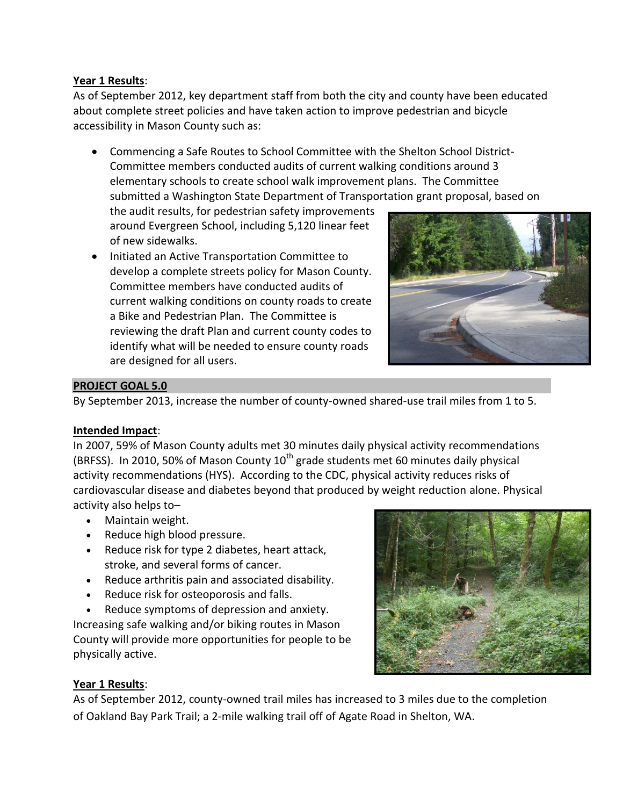## **Year 1 Results**:

As of September 2012, key department staff from both the city and county have been educated about complete street policies and have taken action to improve pedestrian and bicycle accessibility in Mason County such as:

 Commencing a Safe Routes to School Committee with the Shelton School District-Committee members conducted audits of current walking conditions around 3 elementary schools to create school walk improvement plans. The Committee submitted a Washington State Department of Transportation grant proposal, based on

the audit results, for pedestrian safety improvements around Evergreen School, including 5,120 linear feet of new sidewalks.

• Initiated an Active Transportation Committee to develop a complete streets policy for Mason County. Committee members have conducted audits of current walking conditions on county roads to create a Bike and Pedestrian Plan. The Committee is reviewing the draft Plan and current county codes to identify what will be needed to ensure county roads are designed for all users.



## **PROJECT GOAL 5.0**

By September 2013, increase the number of county-owned shared-use trail miles from 1 to 5.

# **Intended Impact**:

In 2007, 59% of Mason County adults met 30 minutes daily physical activity recommendations (BRFSS). In 2010, 50% of Mason County  $10^{th}$  grade students met 60 minutes daily physical activity recommendations (HYS). According to the CDC, physical activity reduces risks of cardiovascular disease and diabetes beyond that produced by weight reduction alone. Physical activity also helps to–

- Maintain weight.
- Reduce high blood pressure.
- Reduce risk for type 2 diabetes, heart attack, stroke, and several forms of cancer.
- Reduce arthritis pain and associated disability.
- Reduce risk for osteoporosis and falls.

 Reduce symptoms of depression and anxiety. Increasing safe walking and/or biking routes in Mason County will provide more opportunities for people to be physically active.



# **Year 1 Results**:

As of September 2012, county-owned trail miles has increased to 3 miles due to the completion of Oakland Bay Park Trail; a 2-mile walking trail off of Agate Road in Shelton, WA.